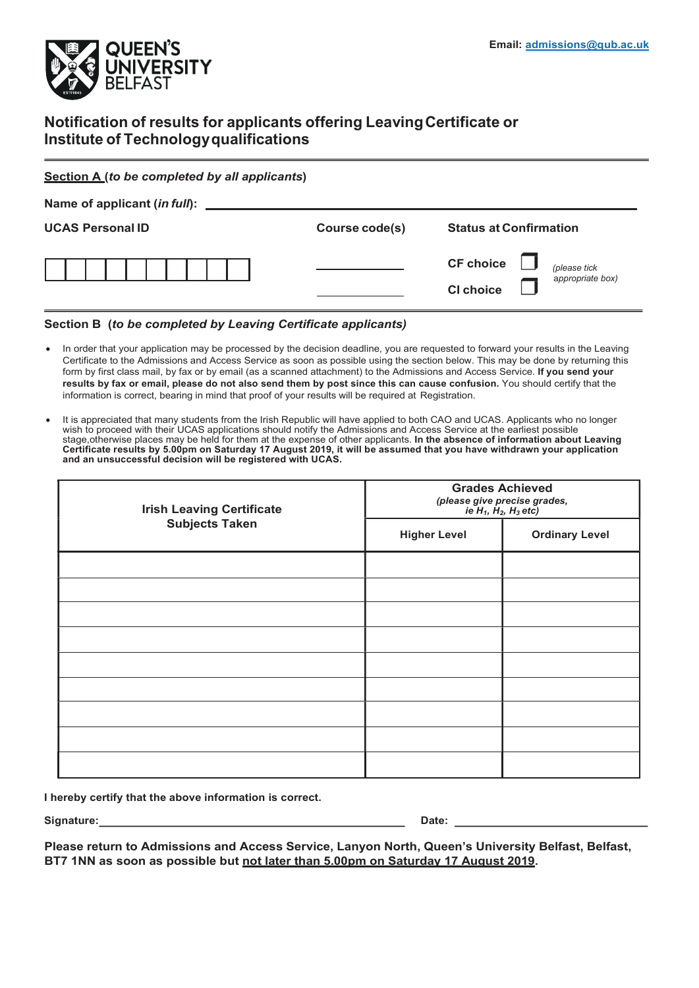

## Notification of results for applicants offering Leaving Certificate or Institute of Technology qualifications

#### Section A (to be completed by all applicants)

| Course code(s) | <b>Status at Confirmation</b>                                            |
|----------------|--------------------------------------------------------------------------|
|                |                                                                          |
|                | <b>CF</b> choice<br>(please tick<br>appropriate box)<br><b>CI choice</b> |
|                |                                                                          |

#### Section B (to be completed by Leaving Certificate applicants)

- In order that your application may be processed by the decision deadline, you are requested to forward your results in the Leaving Certificate to the Admissions and Access Service as soon as possible using the section below. This may be done by returning this form by first class mail, by fax or by email (as a scanned attachment) to the Admissions and Access Service. If you send your results by fax or email, please do not also send them by post since this can cause confusion. You should certify that the information is correct, bearing in mind that proof of your results will be required at Registration.
- It is appreciated that many students from the Irish Republic will have applied to both CAO and UCAS. Applicants who no longer wish to proceed with their UCAS applications should notify the Admissions and Access Service at the earliest possible stage,otherwise places may be held for them at the expense of other applicants. **In the absence of information about Leaving** Certificate results by 5.00pm on Saturday 17 August 2019, it will be assumed that you have withdrawn your application and an unsuccessful decision will be registered with UCAS.

| <b>Irish Leaving Certificate</b><br><b>Subjects Taken</b> | <b>Grades Achieved</b><br>(please give precise grades,<br>ie $H_1$ , $H_2$ , $H_3$ etc) |                       |  |
|-----------------------------------------------------------|-----------------------------------------------------------------------------------------|-----------------------|--|
|                                                           | <b>Higher Level</b>                                                                     | <b>Ordinary Level</b> |  |
|                                                           |                                                                                         |                       |  |
|                                                           |                                                                                         |                       |  |
|                                                           |                                                                                         |                       |  |
|                                                           |                                                                                         |                       |  |
|                                                           |                                                                                         |                       |  |
|                                                           |                                                                                         |                       |  |
|                                                           |                                                                                         |                       |  |
|                                                           |                                                                                         |                       |  |

I hereby certify that the above information is correct.

Signature: Date: Date: Date: Date: Date: Date: Date: Date: Date: Date: Date: Date: Date: Date: Date: Date: Date: Date: Date: Date: Date: Date: Date: Date: Date: Date: Date: Date: Date: Date: Date: Date: Date: Date: Date: D

Please return to Admissions and Access Service, Lanyon North, Queen's University Belfast, Belfast, BT7 1NN as soon as possible but not later than 5.00pm on Saturday 17 August 2019.